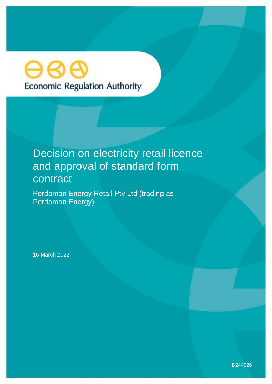# **Economic Regulation Authority**

## Decision on electricity retail licence and approval of standard form contract

Perdaman Energy Retail Pty Ltd (trading as Perdaman Energy)

16 March 2022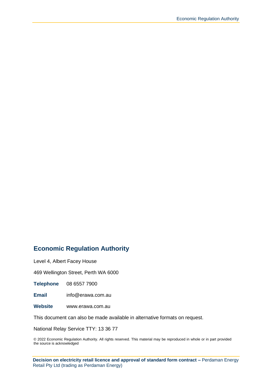#### **Economic Regulation Authority**

Level 4, Albert Facey House

469 Wellington Street, Perth WA 6000

**Telephone** 08 6557 7900

**Email** info@erawa.com.au

**Website** www.erawa.com.au

This document can also be made available in alternative formats on request.

National Relay Service TTY: 13 36 77

© 2022 Economic Regulation Authority. All rights reserved. This material may be reproduced in whole or in part provided the source is acknowledged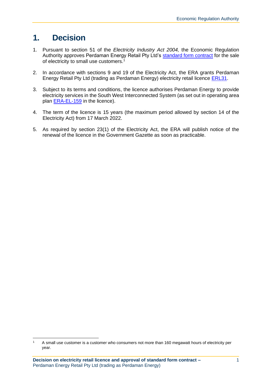## **1. Decision**

- 1. Pursuant to section 51 of the *Electricity Industry Act 2004,* the Economic Regulation Authority approves Perdaman Energy Retail Pty Ltd's [standard form contract](http://www.erawa.com.au/cproot/22535/2/Perdaman-Energy-Retail-Pty-Ltd---ERL031---Standard-form-contract.pdf) for the sale of electricity to small use customers.<sup>1</sup>
- 2. In accordance with sections 9 and 19 of the Electricity Act, the ERA grants Perdaman Energy Retail Pty Ltd (trading as Perdaman Energy) electricity retail licence [ERL31.](http://www.erawa.com.au/cproot/22533/2/Electricity-Retail-Licence-31-Version-1-17-March-2022---Perdaman-Energy-Retail-Pty-Ltd.pdf)
- 3. Subject to its terms and conditions, the licence authorises Perdaman Energy to provide electricity services in the South West Interconnected System (as set out in operating area plan [ERA-EL-159](http://www.erawa.com.au/cproot/22534/2/Operating-area-map-ERA-EL-159---ERL031---Perdaman-Energy-Retail-Pty-Ltd.pdf) in the licence).
- 4. The term of the licence is 15 years (the maximum period allowed by section 14 of the Electricity Act) from 17 March 2022.
- 5. As required by section 23(1) of the Electricity Act, the ERA will publish notice of the renewal of the licence in the Government Gazette as soon as practicable.

 $1$  A small use customer is a customer who consumers not more than 160 megawatt hours of electricity per year.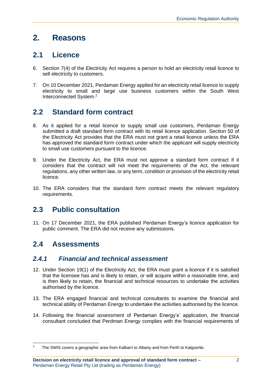## **2. Reasons**

### **2.1 Licence**

- 6. Section 7(4) of the Electricity Act requires a person to hold an electricity retail licence to sell electricity to customers.
- 7. On 10 December 2021, Perdaman Energy applied for an electricity retail licence to supply electricity to small and large use business customers within the South West Interconnected System.<sup>2</sup>

## **2.2 Standard form contract**

- 8. As it applied for a retail licence to supply small use customers, Perdaman Energy submitted a draft standard form contract with its retail licence application. Section 50 of the Electricity Act provides that the ERA must not grant a retail licence unless the ERA has approved the standard form contract under which the applicant will supply electricity to small use customers pursuant to the licence.
- 9. Under the Electricity Act, the ERA must not approve a standard form contract if it considers that the contract will not meet the requirements of the Act, the relevant regulations, any other written law, or any term, condition or provision of the electricity retail licence.
- 10. The ERA considers that the standard form contract meets the relevant regulatory requirements.

## **2.3 Public consultation**

11. On 17 December 2021, the ERA published Perdaman Energy's licence application for public comment. The ERA did not receive any submissions.

## **2.4 Assessments**

#### *2.4.1 Financial and technical assessment*

- 12. Under Section 19(1) of the Electricity Act, the ERA must grant a licence if it is satisfied that the licensee has and is likely to retain, or will acquire within a reasonable time, and is then likely to retain, the financial and technical resources to undertake the activities authorised by the licence.
- 13. The ERA engaged financial and technical consultants to examine the financial and technical ability of Perdaman Energy to undertake the activities authorised by the licence.
- 14. Following the financial assessment of Perdaman Energy's' application, the financial consultant concluded that Perdman Energy complies with the financial requirements of

<sup>&</sup>lt;sup>2</sup> The SWIS covers a geographic area from Kalbarri to Albany and from Perth to Kalgoorlie.

**Decision on electricity retail licence and approval of standard form contract –** Perdaman Energy Retail Pty Ltd (trading as Perdaman Energy)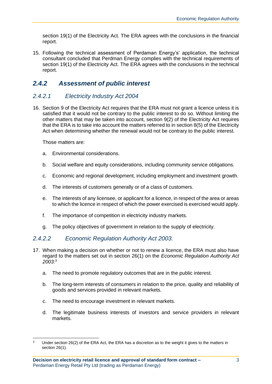section 19(1) of the Electricity Act. The ERA agrees with the conclusions in the financial report.

15. Following the technical assessment of Perdaman Energy's' application, the technical consultant concluded that Perdman Energy complies with the technical requirements of section 19(1) of the Electricity Act. The ERA agrees with the conclusions in the technical report.

#### *2.4.2 Assessment of public interest*

#### *2.4.2.1 Electricity Industry Act 2004*

16. Section 9 of the Electricity Act requires that the ERA must not grant a licence unless it is satisfied that it would not be contrary to the public interest to do so. Without limiting the other matters that may be taken into account, section 9(2) of the Electricity Act requires that the ERA is to take into account the matters referred to in section 8(5) of the Electricity Act when determining whether the renewal would not be contrary to the public interest.

Those matters are:

- a. Environmental considerations.
- b. Social welfare and equity considerations, including community service obligations.
- c. Economic and regional development, including employment and investment growth.
- d. The interests of customers generally or of a class of customers.
- e. The interests of any licensee, or applicant for a licence, in respect of the area or areas to which the licence in respect of which the power exercised is exercised would apply.
- f. The importance of competition in electricity industry markets.
- g. The policy objectives of government in relation to the supply of electricity.

#### *2.4.2.2 Economic Regulation Authority Act 2003.*

- 17. When making a decision on whether or not to renew a licence, the ERA must also have regard to the matters set out in section 26(1) on the *Economic Regulation Authority Act 2003*: 3
	- a. The need to promote regulatory outcomes that are in the public interest.
	- b. The long-term interests of consumers in relation to the price, quality and reliability of goods and services provided in relevant markets.
	- c. The need to encourage investment in relevant markets.
	- d. The legitimate business interests of investors and service providers in relevant markets.

 $3$  Under section 26(2) of the ERA Act, the ERA has a discretion as to the weight it gives to the matters in section 26(1).